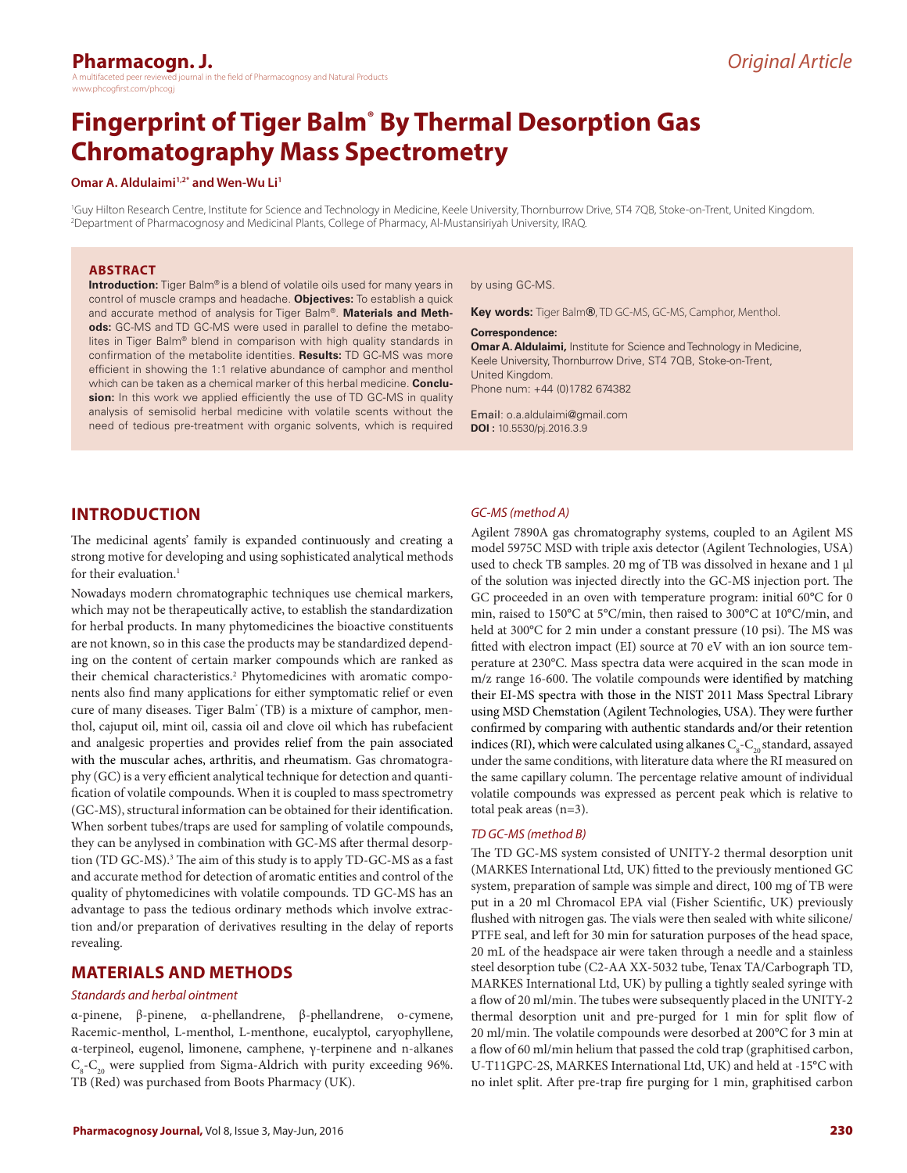## **Pharmacogn. J.**

the field of Pharmacognosy and Natural Products www.phcogfirst.com/phcogj

# **Fingerprint of Tiger Balm® By Thermal Desorption Gas Chromatography Mass Spectrometry**

#### **Omar A. Aldulaimi<sup>1,2\*</sup> and Wen-Wu Li<sup>1</sup>**

1 Guy Hilton Research Centre, Institute for Science and Technology in Medicine, Keele University, Thornburrow Drive, ST4 7QB, Stoke-on-Trent, United Kingdom. 2 Department of Pharmacognosy and Medicinal Plants, College of Pharmacy, Al-Mustansiriyah University, IRAQ.

#### **ABSTRACT**

**Introduction:** Tiger Balm® is a blend of volatile oils used for many years in control of muscle cramps and headache. **Objectives:** To establish a quick and accurate method of analysis for Tiger Balm®. **Materials and Methods:** GC-MS and TD GC-MS were used in parallel to define the metabolites in Tiger Balm® blend in comparison with high quality standards in confirmation of the metabolite identities. **Results:** TD GC-MS was more efficient in showing the 1:1 relative abundance of camphor and menthol which can be taken as a chemical marker of this herbal medicine. **Conclusion:** In this work we applied efficiently the use of TD GC-MS in quality analysis of semisolid herbal medicine with volatile scents without the need of tedious pre-treatment with organic solvents, which is required

#### by using GC-MS.

**Key words:** Tiger Balm**®**, TD GC-MS, GC-MS, Camphor, Menthol.

#### **Correspondence:**

**Omar A. Aldulaimi,** Institute for Science and Technology in Medicine, Keele University, Thornburrow Drive, ST4 7QB, Stoke-on-Trent, United Kingdom. Phone num: +44 (0)1782 674382

Email: o.a.aldulaimi@gmail.com **DOI :** 10.5530/pj.2016.3.9

#### **INTRODUCTION**

The medicinal agents' family is expanded continuously and creating a strong motive for developing and using sophisticated analytical methods for their evaluation.<sup>1</sup>

Nowadays modern chromatographic techniques use chemical markers, which may not be therapeutically active, to establish the standardization for herbal products. In many phytomedicines the bioactive constituents are not known, so in this case the products may be standardized depending on the content of certain marker compounds which are ranked as their chemical characteristics.<sup>2</sup> Phytomedicines with aromatic components also find many applications for either symptomatic relief or even cure of many diseases. Tiger Balm<sup>®</sup> (TB) is a mixture of camphor, menthol, cajuput oil, mint oil, cassia oil and clove oil which has rubefacient and analgesic properties and provides relief from the pain associated with the muscular aches, arthritis, and rheumatism. Gas chromatography (GC) is a very efficient analytical technique for detection and quantification of volatile compounds. When it is coupled to mass spectrometry (GC-MS), structural information can be obtained for their identification. When sorbent tubes/traps are used for sampling of volatile compounds, they can be anylysed in combination with GC-MS after thermal desorption (TD GC-MS).<sup>3</sup> The aim of this study is to apply TD-GC-MS as a fast and accurate method for detection of aromatic entities and control of the quality of phytomedicines with volatile compounds. TD GC-MS has an advantage to pass the tedious ordinary methods which involve extraction and/or preparation of derivatives resulting in the delay of reports revealing.

#### **MATERIALS AND METHODS**

#### *Standards and herbal ointment*

α-pinene, β-pinene, α-phellandrene, β-phellandrene, o-cymene, Racemic-menthol, L-menthol, L-menthone, eucalyptol, caryophyllene, α-terpineol, eugenol, limonene, camphene, γ-terpinene and n-alkanes  $C_{8}$ - $C_{20}$  were supplied from Sigma-Aldrich with purity exceeding 96%. TB (Red) was purchased from Boots Pharmacy (UK).

*GC-MS (method A)*

Agilent 7890A gas chromatography systems, coupled to an Agilent MS model 5975C MSD with triple axis detector (Agilent Technologies, USA) used to check TB samples. 20 mg of TB was dissolved in hexane and 1 µl of the solution was injected directly into the GC-MS injection port. The GC proceeded in an oven with temperature program: initial 60°C for 0 min, raised to 150°C at 5°C/min, then raised to 300°C at 10°C/min, and held at 300°C for 2 min under a constant pressure (10 psi). The MS was fitted with electron impact (EI) source at 70 eV with an ion source temperature at 230°C. Mass spectra data were acquired in the scan mode in m/z range 16-600. The volatile compounds were identified by matching their EI-MS spectra with those in the NIST 2011 Mass Spectral Library using MSD Chemstation (Agilent Technologies, USA). They were further confirmed by comparing with authentic standards and/or their retention indices (RI), which were calculated using alkanes  $\mathrm{C_{s}\text{-}C_{_{20}}}$ standard, assayed under the same conditions, with literature data where the RI measured on the same capillary column. The percentage relative amount of individual volatile compounds was expressed as percent peak which is relative to total peak areas (n=3).

#### *TD GC-MS (method B)*

The TD GC-MS system consisted of UNITY-2 thermal desorption unit (MARKES International Ltd, UK) fitted to the previously mentioned GC system, preparation of sample was simple and direct, 100 mg of TB were put in a 20 ml Chromacol EPA vial (Fisher Scientific, UK) previously flushed with nitrogen gas. The vials were then sealed with white silicone/ PTFE seal, and left for 30 min for saturation purposes of the head space, 20 mL of the headspace air were taken through a needle and a stainless steel desorption tube (C2-AA XX-5032 tube, Tenax TA/Carbograph TD, MARKES International Ltd, UK) by pulling a tightly sealed syringe with a flow of 20 ml/min. The tubes were subsequently placed in the UNITY-2 thermal desorption unit and pre-purged for 1 min for split flow of 20 ml/min. The volatile compounds were desorbed at 200°C for 3 min at a flow of 60 ml/min helium that passed the cold trap (graphitised carbon, U-T11GPC-2S, MARKES International Ltd, UK) and held at -15°C with no inlet split. After pre-trap fire purging for 1 min, graphitised carbon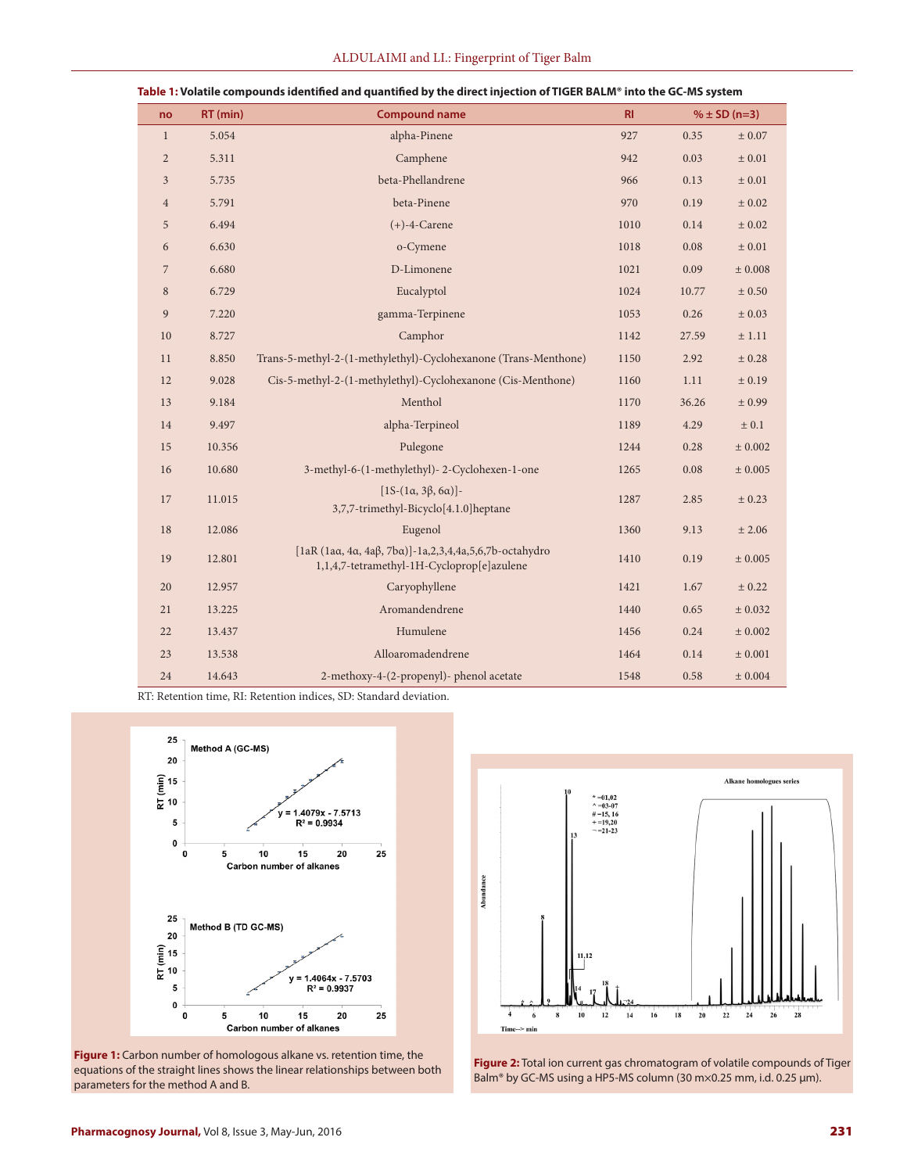| no             | $RT$ (min) | <b>Compound name</b>                                                                                 | R1   | $% \pm SD (n=3)$ |             |
|----------------|------------|------------------------------------------------------------------------------------------------------|------|------------------|-------------|
| $\mathbf{1}$   | 5.054      | alpha-Pinene                                                                                         | 927  | 0.35             | $\pm$ 0.07  |
| $\overline{2}$ | 5.311      | Camphene                                                                                             | 942  | 0.03             | $\pm$ 0.01  |
| 3              | 5.735      | beta-Phellandrene                                                                                    |      | 0.13             | ± 0.01      |
| $\overline{4}$ | 5.791      | beta-Pinene                                                                                          |      | 0.19             | ± 0.02      |
| 5              | 6.494      | $(+)$ -4-Carene                                                                                      |      | 0.14             | ± 0.02      |
| 6              | 6.630      | o-Cymene                                                                                             |      | 0.08             | $\pm$ 0.01  |
| $\overline{7}$ | 6.680      | D-Limonene                                                                                           |      | 0.09             | $\pm$ 0.008 |
| 8              | 6.729      | Eucalyptol                                                                                           | 1024 | 10.77            | $\pm$ 0.50  |
| 9              | 7.220      | gamma-Terpinene                                                                                      | 1053 | 0.26             | ± 0.03      |
| 10             | 8.727      | Camphor                                                                                              | 1142 | 27.59            | ± 1.11      |
| 11             | 8.850      | Trans-5-methyl-2-(1-methylethyl)-Cyclohexanone (Trans-Menthone)                                      | 1150 | 2.92             | ± 0.28      |
| 12             | 9.028      | Cis-5-methyl-2-(1-methylethyl)-Cyclohexanone (Cis-Menthone)                                          | 1160 | 1.11             | ± 0.19      |
| 13             | 9.184      | Menthol                                                                                              |      | 36.26            | ± 0.99      |
| 14             | 9.497      | alpha-Terpineol                                                                                      |      | 4.29             | ± 0.1       |
| 15             | 10.356     | Pulegone                                                                                             |      | 0.28             | ± 0.002     |
| 16             | 10.680     | 3-methyl-6-(1-methylethyl)-2-Cyclohexen-1-one                                                        |      | 0.08             | $\pm$ 0.005 |
| 17             | 11.015     | $[1S-(1α, 3β, 6α)]$ -<br>3,7,7-trimethyl-Bicyclo[4.1.0]heptane                                       | 1287 | 2.85             | $\pm$ 0.23  |
| 18             | 12.086     | Eugenol                                                                                              | 1360 | 9.13             | ± 2.06      |
| 19             | 12.801     | [laR (laα, 4α, 4aβ, 7bα)]-1a,2,3,4,4a,5,6,7b-octahydro<br>1,1,4,7-tetramethyl-1H-Cycloprop[e]azulene | 1410 | 0.19             | $\pm$ 0.005 |
| 20             | 12.957     | Caryophyllene                                                                                        |      | 1.67             | ± 0.22      |
| 21             | 13.225     | Aromandendrene                                                                                       |      | 0.65             | ± 0.032     |
| 22             | 13.437     | Humulene                                                                                             | 1456 | 0.24             | ± 0.002     |
| 23             | 13.538     | Alloaromadendrene                                                                                    | 1464 | 0.14             | ± 0.001     |
| 24             | 14.643     | 2-methoxy-4-(2-propenyl)- phenol acetate                                                             | 1548 | 0.58             | ± 0.004     |

**Table 1: Volatile compounds identified and quantified by the direct injection of TIGER BALM® into the GC-MS system**

RT: Retention time, RI: Retention indices, SD: Standard deviation.



**Figure 1:** Carbon number of homologous alkane vs. retention time, the equations of the straight lines shows the linear relationships between both parameters for the method A and B.



**Figure 2:** Total ion current gas chromatogram of volatile compounds of Tiger Balm® by GC-MS using a HP5-MS column (30 m×0.25 mm, i.d. 0.25 µm).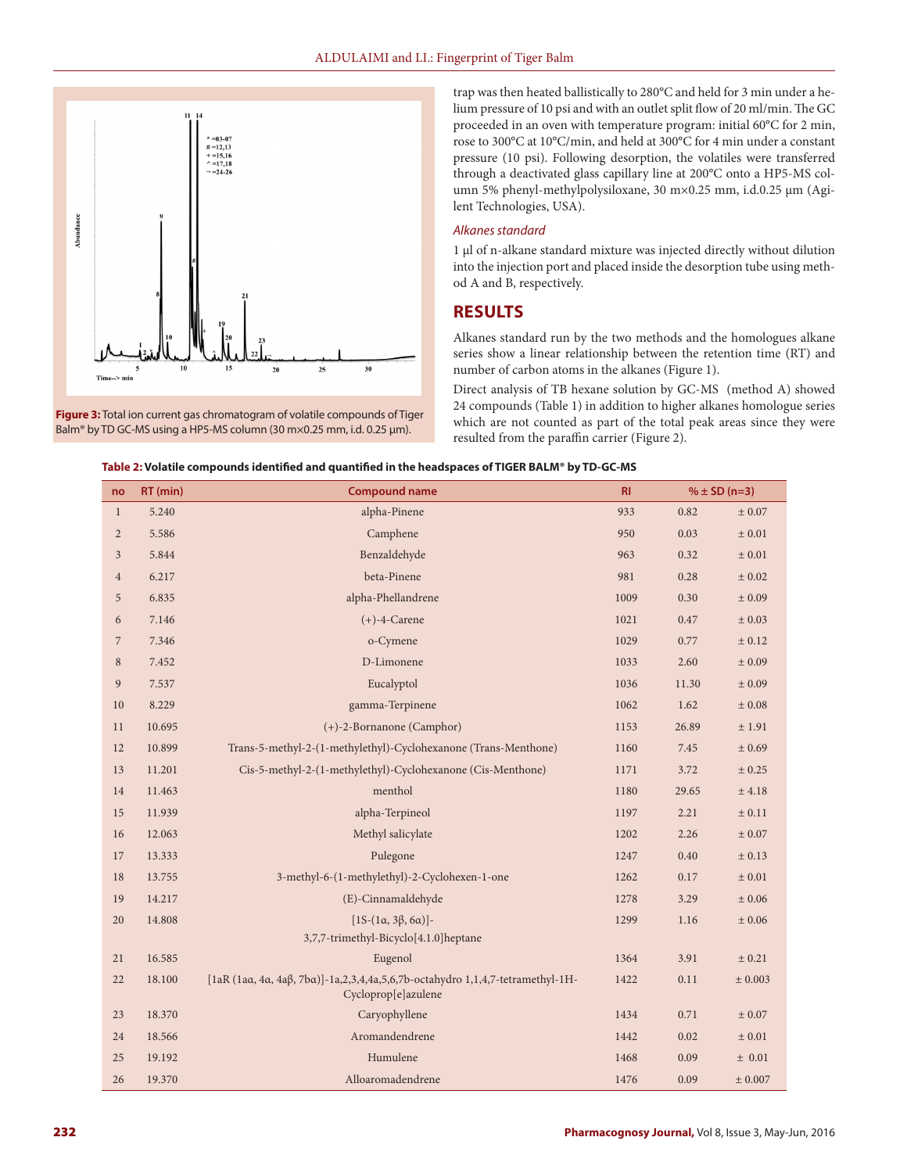

**Figure 3:** Total ion current gas chromatogram of volatile compounds of Tiger Balm® by TD GC-MS using a HP5-MS column (30 m×0.25 mm, i.d. 0.25 µm).

trap was then heated ballistically to 280°C and held for 3 min under a helium pressure of 10 psi and with an outlet split flow of 20 ml/min. The GC proceeded in an oven with temperature program: initial 60°C for 2 min, rose to 300°C at 10°C/min, and held at 300°C for 4 min under a constant pressure (10 psi). Following desorption, the volatiles were transferred through a deactivated glass capillary line at 200°C onto a HP5-MS column 5% phenyl-methylpolysiloxane, 30 m×0.25 mm, i.d.0.25 µm (Agilent Technologies, USA).

#### *Alkanes standard*

1 µl of n-alkane standard mixture was injected directly without dilution into the injection port and placed inside the desorption tube using method A and B, respectively.

### **RESULTS**

Alkanes standard run by the two methods and the homologues alkane series show a linear relationship between the retention time (RT) and number of carbon atoms in the alkanes (Figure 1).

Direct analysis of TB hexane solution by GC-MS (method A) showed 24 compounds (Table 1) in addition to higher alkanes homologue series which are not counted as part of the total peak areas since they were resulted from the paraffin carrier (Figure 2).

|  | Table 2: Volatile compounds identified and quantified in the headspaces of TIGER BALM® by TD-GC-MS |  |
|--|----------------------------------------------------------------------------------------------------|--|
|  |                                                                                                    |  |

| no             | RT (min) | <b>Compound name</b>                                                                                  | R1   | $% \pm SD (n=3)$ |            |
|----------------|----------|-------------------------------------------------------------------------------------------------------|------|------------------|------------|
| $\mathbf{1}$   | 5.240    | alpha-Pinene                                                                                          | 933  | 0.82             | ± 0.07     |
| $\sqrt{2}$     | 5.586    | Camphene                                                                                              | 950  | 0.03             | ± 0.01     |
| $\mathfrak{Z}$ | 5.844    | Benzaldehyde                                                                                          | 963  | 0.32             | $\pm$ 0.01 |
| $\overline{4}$ | 6.217    | beta-Pinene                                                                                           | 981  | 0.28             | ± 0.02     |
| $\sqrt{5}$     | 6.835    | alpha-Phellandrene                                                                                    | 1009 | 0.30             | ± 0.09     |
| 6              | 7.146    | $(+)$ -4-Carene                                                                                       |      | 0.47             | ± 0.03     |
| $\sqrt{2}$     | 7.346    | o-Cymene                                                                                              |      | 0.77             | ± 0.12     |
| $\,8\,$        | 7.452    | D-Limonene                                                                                            | 1033 | 2.60             | ± 0.09     |
| 9              | 7.537    | Eucalyptol                                                                                            | 1036 | 11.30            | ± 0.09     |
| 10             | 8.229    | gamma-Terpinene                                                                                       | 1062 | 1.62             | $\pm$ 0.08 |
| 11             | 10.695   | (+)-2-Bornanone (Camphor)                                                                             | 1153 | 26.89            | ± 1.91     |
| 12             | 10.899   | Trans-5-methyl-2-(1-methylethyl)-Cyclohexanone (Trans-Menthone)                                       | 1160 | 7.45             | ± 0.69     |
| 13             | 11.201   | Cis-5-methyl-2-(1-methylethyl)-Cyclohexanone (Cis-Menthone)                                           | 1171 | 3.72             | $\pm$ 0.25 |
| 14             | 11.463   | menthol                                                                                               | 1180 | 29.65            | $±$ 4.18   |
| 15             | 11.939   | alpha-Terpineol                                                                                       | 1197 | 2.21             | $\pm$ 0.11 |
| 16             | 12.063   | Methyl salicylate                                                                                     | 1202 | 2.26             | $\pm$ 0.07 |
| 17             | 13.333   | Pulegone                                                                                              | 1247 | 0.40             | ± 0.13     |
| 18             | 13.755   | 3-methyl-6-(1-methylethyl)-2-Cyclohexen-1-one                                                         | 1262 | 0.17             | $\pm$ 0.01 |
| 19             | 14.217   | (E)-Cinnamaldehyde                                                                                    | 1278 | 3.29             | ± 0.06     |
| 20             | 14.808   | $[1S-(1α, 3β, 6α)]$ -                                                                                 | 1299 | 1.16             | $\pm$ 0.06 |
|                |          | 3,7,7-trimethyl-Bicyclo[4.1.0]heptane                                                                 |      |                  |            |
| 21             | 16.585   | Eugenol                                                                                               | 1364 | 3.91             | ± 0.21     |
| 22             | 18.100   | [1aR (1aα, 4a, 4aβ, 7ba)]-1a,2,3,4,4a,5,6,7b-octahydro 1,1,4,7-tetramethyl-1H-<br>Cycloprop[e]azulene | 1422 | 0.11             | ± 0.003    |
| 23             | 18.370   | Caryophyllene                                                                                         | 1434 | 0.71             | ± 0.07     |
| 24             | 18.566   | Aromandendrene                                                                                        | 1442 | 0.02             | ± 0.01     |
| 25             | 19.192   | Humulene                                                                                              | 1468 | 0.09             | ± 0.01     |
| 26             | 19.370   | Alloaromadendrene                                                                                     | 1476 | 0.09             | ± 0.007    |